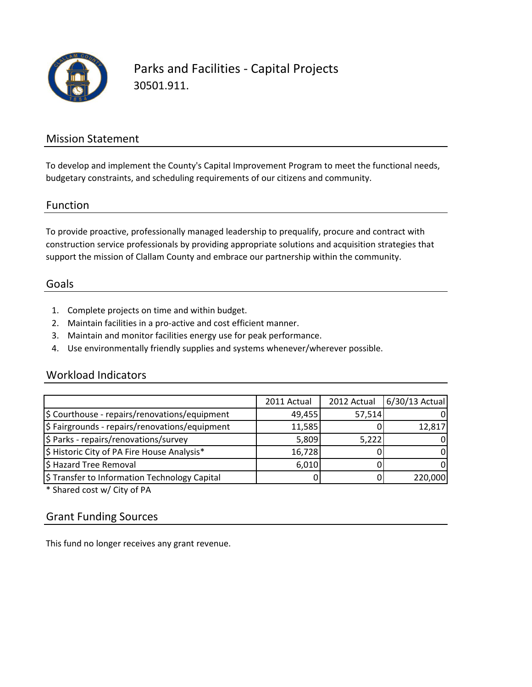

Parks and Facilities - Capital Projects 30501.911.

#### Mission Statement

To develop and implement the County's Capital Improvement Program to meet the functional needs, budgetary constraints, and scheduling requirements of our citizens and community.

#### Function

To provide proactive, professionally managed leadership to prequalify, procure and contract with construction service professionals by providing appropriate solutions and acquisition strategies that support the mission of Clallam County and embrace our partnership within the community.

#### Goals

- 1. Complete projects on time and within budget.
- 2. Maintain facilities in a pro-active and cost efficient manner.
- 3. Maintain and monitor facilities energy use for peak performance.
- 4. Use environmentally friendly supplies and systems whenever/wherever possible.

#### Workload Indicators

|                                                | 2011 Actual | 2012 Actual | 6/30/13 Actual |
|------------------------------------------------|-------------|-------------|----------------|
| \$ Courthouse - repairs/renovations/equipment  | 49,455      | 57,514      |                |
| \$ Fairgrounds - repairs/renovations/equipment | 11,585      |             | 12,817         |
| \$ Parks - repairs/renovations/survey          | 5,809       | 5,222       |                |
| \$ Historic City of PA Fire House Analysis*    | 16,728      |             |                |
| \$ Hazard Tree Removal                         | 6,010       |             |                |
| \$ Transfer to Information Technology Capital  |             |             | 220,000        |

\* Shared cost w/ City of PA

#### Grant Funding Sources

This fund no longer receives any grant revenue.